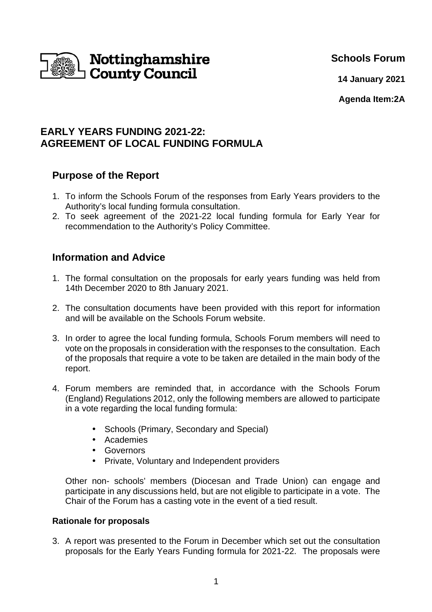

**Schools Forum**

**14 January 2021**

**Agenda Item:2A** 

# **EARLY YEARS FUNDING 2021-22: AGREEMENT OF LOCAL FUNDING FORMULA**

# **Purpose of the Report**

- 1. To inform the Schools Forum of the responses from Early Years providers to the Authority's local funding formula consultation.
- 2. To seek agreement of the 2021-22 local funding formula for Early Year for recommendation to the Authority's Policy Committee.

## **Information and Advice**

- 1. The formal consultation on the proposals for early years funding was held from 14th December 2020 to 8th January 2021.
- 2. The consultation documents have been provided with this report for information and will be available on the Schools Forum website.
- 3. In order to agree the local funding formula, Schools Forum members will need to vote on the proposals in consideration with the responses to the consultation. Each of the proposals that require a vote to be taken are detailed in the main body of the report.
- 4. Forum members are reminded that, in accordance with the Schools Forum (England) Regulations 2012, only the following members are allowed to participate in a vote regarding the local funding formula:
	- Schools (Primary, Secondary and Special)
	- Academies
	- Governors
	- Private, Voluntary and Independent providers

 Other non- schools' members (Diocesan and Trade Union) can engage and participate in any discussions held, but are not eligible to participate in a vote. The Chair of the Forum has a casting vote in the event of a tied result.

### **Rationale for proposals**

3. A report was presented to the Forum in December which set out the consultation proposals for the Early Years Funding formula for 2021-22. The proposals were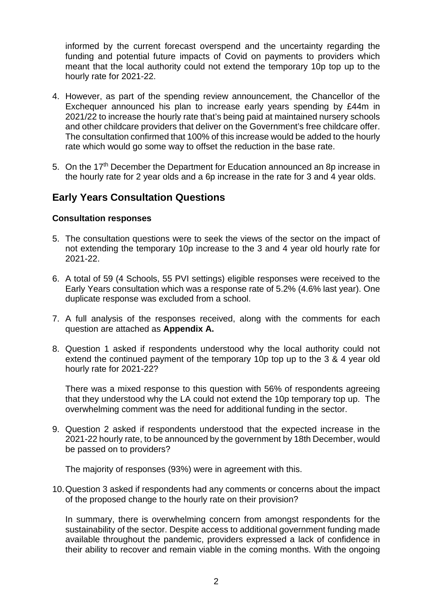informed by the current forecast overspend and the uncertainty regarding the funding and potential future impacts of Covid on payments to providers which meant that the local authority could not extend the temporary 10p top up to the hourly rate for 2021-22.

- 4. However, as part of the spending review announcement, the Chancellor of the Exchequer announced his plan to increase early years spending by £44m in 2021/22 to increase the hourly rate that's being paid at maintained nursery schools and other childcare providers that deliver on the Government's free childcare offer. The consultation confirmed that 100% of this increase would be added to the hourly rate which would go some way to offset the reduction in the base rate.
- 5. On the 17<sup>th</sup> December the Department for Education announced an 8p increase in the hourly rate for 2 year olds and a 6p increase in the rate for 3 and 4 year olds.

## **Early Years Consultation Questions**

#### **Consultation responses**

- 5. The consultation questions were to seek the views of the sector on the impact of not extending the temporary 10p increase to the 3 and 4 year old hourly rate for 2021-22.
- 6. A total of 59 (4 Schools, 55 PVI settings) eligible responses were received to the Early Years consultation which was a response rate of 5.2% (4.6% last year). One duplicate response was excluded from a school.
- 7. A full analysis of the responses received, along with the comments for each question are attached as **Appendix A.**
- 8. Question 1 asked if respondents understood why the local authority could not extend the continued payment of the temporary 10p top up to the 3 & 4 year old hourly rate for 2021-22?

There was a mixed response to this question with 56% of respondents agreeing that they understood why the LA could not extend the 10p temporary top up. The overwhelming comment was the need for additional funding in the sector.

9. Question 2 asked if respondents understood that the expected increase in the 2021-22 hourly rate, to be announced by the government by 18th December, would be passed on to providers?

The majority of responses (93%) were in agreement with this.

10. Question 3 asked if respondents had any comments or concerns about the impact of the proposed change to the hourly rate on their provision?

In summary, there is overwhelming concern from amongst respondents for the sustainability of the sector. Despite access to additional government funding made available throughout the pandemic, providers expressed a lack of confidence in their ability to recover and remain viable in the coming months. With the ongoing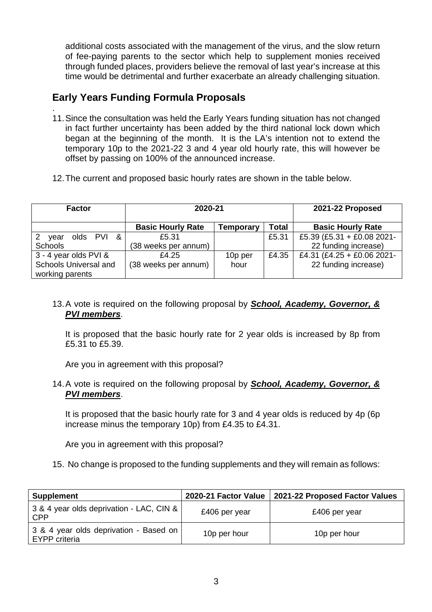additional costs associated with the management of the virus, and the slow return of fee-paying parents to the sector which help to supplement monies received through funded places, providers believe the removal of last year's increase at this time would be detrimental and further exacerbate an already challenging situation.

# **Early Years Funding Formula Proposals**

- . 11. Since the consultation was held the Early Years funding situation has not changed in fact further uncertainty has been added by the third national lock down which began at the beginning of the month. It is the LA's intention not to extend the temporary 10p to the 2021-22 3 and 4 year old hourly rate, this will however be offset by passing on 100% of the announced increase.
- 12. The current and proposed basic hourly rates are shown in the table below.

| <b>Factor</b>         | 2020-21                  |                  | 2021-22 Proposed |                            |
|-----------------------|--------------------------|------------------|------------------|----------------------------|
|                       | <b>Basic Hourly Rate</b> | <b>Temporary</b> | <b>Total</b>     | <b>Basic Hourly Rate</b>   |
| olds PVI &<br>year    | £5.31                    |                  | £5.31            | £5.39 (£5.31 + £0.08 2021- |
| <b>Schools</b>        | (38 weeks per annum)     |                  |                  | 22 funding increase)       |
| 3 - 4 year olds PVI & | £4.25                    | 10p per          | £4.35            | £4.31 (£4.25 + £0.06 2021- |
| Schools Universal and | (38 weeks per annum)     | hour             |                  | 22 funding increase)       |
| working parents       |                          |                  |                  |                            |

13. A vote is required on the following proposal by **School, Academy, Governor, & PVI members**.

It is proposed that the basic hourly rate for 2 year olds is increased by 8p from £5.31 to £5.39.

Are you in agreement with this proposal?

14. A vote is required on the following proposal by **School, Academy, Governor, & PVI members**.

It is proposed that the basic hourly rate for 3 and 4 year olds is reduced by 4p (6p increase minus the temporary 10p) from £4.35 to £4.31.

Are you in agreement with this proposal?

15. No change is proposed to the funding supplements and they will remain as follows:

| <b>Supplement</b>                                              |               | 2020-21 Factor Value   2021-22 Proposed Factor Values |
|----------------------------------------------------------------|---------------|-------------------------------------------------------|
| 3 & 4 year olds deprivation - LAC, CIN &  <br><b>CPP</b>       | £406 per year | £406 per year                                         |
| 3 & 4 year olds deprivation - Based on<br><b>EYPP</b> criteria | 10p per hour  | 10p per hour                                          |